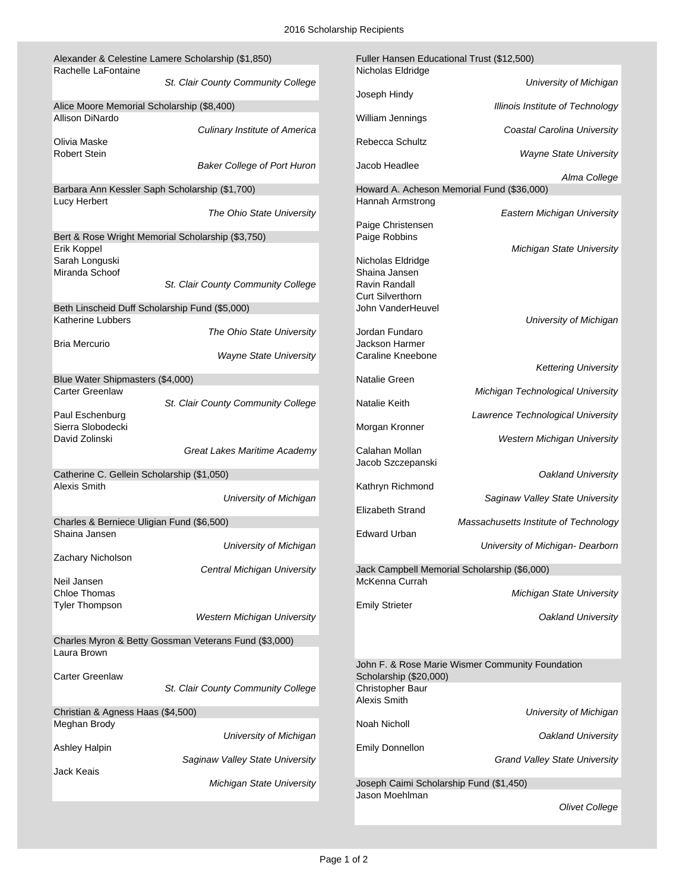| Alexander & Celestine Lamere Scholarship (\$1,850) |                                                       | Fuller Hansen Educational Trust (\$12,500) |                                                  |
|----------------------------------------------------|-------------------------------------------------------|--------------------------------------------|--------------------------------------------------|
| Rachelle LaFontaine                                |                                                       | Nicholas Eldridge                          |                                                  |
|                                                    | St. Clair County Community College                    |                                            | University of Michigan                           |
|                                                    |                                                       | Joseph Hindy                               |                                                  |
| Alice Moore Memorial Scholarship (\$8,400)         |                                                       |                                            | <b>Illinois Institute of Technology</b>          |
| Allison DiNardo                                    |                                                       | William Jennings                           |                                                  |
|                                                    | <b>Culinary Institute of America</b>                  |                                            | Coastal Carolina University                      |
| Olivia Maske                                       |                                                       | Rebecca Schultz                            |                                                  |
| <b>Robert Stein</b>                                |                                                       |                                            | <b>Wayne State University</b>                    |
|                                                    | <b>Baker College of Port Huron</b>                    | Jacob Headlee                              |                                                  |
|                                                    |                                                       |                                            | Alma College                                     |
| Barbara Ann Kessler Saph Scholarship (\$1,700)     |                                                       |                                            | Howard A. Acheson Memorial Fund (\$36,000)       |
| <b>Lucy Herbert</b>                                |                                                       | Hannah Armstrong                           |                                                  |
|                                                    | The Ohio State University                             | Paige Christensen                          | Eastern Michigan University                      |
|                                                    | Bert & Rose Wright Memorial Scholarship (\$3,750)     | Paige Robbins                              |                                                  |
| Erik Koppel                                        |                                                       |                                            | <b>Michigan State University</b>                 |
| Sarah Longuski                                     |                                                       | Nicholas Eldridge                          |                                                  |
| Miranda Schoof                                     |                                                       | Shaina Jansen                              |                                                  |
|                                                    | St. Clair County Community College                    | Ravin Randall                              |                                                  |
|                                                    |                                                       | <b>Curt Silverthorn</b>                    |                                                  |
| Beth Linscheid Duff Scholarship Fund (\$5,000)     |                                                       | John VanderHeuvel                          |                                                  |
| <b>Katherine Lubbers</b>                           |                                                       |                                            | University of Michigan                           |
|                                                    | The Ohio State University                             | Jordan Fundaro                             |                                                  |
| <b>Bria Mercurio</b>                               |                                                       | Jackson Harmer                             |                                                  |
|                                                    | <b>Wayne State University</b>                         | <b>Caraline Kneebone</b>                   |                                                  |
|                                                    |                                                       |                                            | <b>Kettering University</b>                      |
| Blue Water Shipmasters (\$4,000)                   |                                                       | Natalie Green                              |                                                  |
| <b>Carter Greenlaw</b>                             |                                                       |                                            | Michigan Technological University                |
|                                                    | St. Clair County Community College                    | <b>Natalie Keith</b>                       |                                                  |
| Paul Eschenburg                                    |                                                       |                                            | Lawrence Technological University                |
| Sierra Slobodecki                                  |                                                       | Morgan Kronner                             |                                                  |
| David Zolinski                                     |                                                       |                                            | <b>Western Michigan University</b>               |
|                                                    | Great Lakes Maritime Academy                          | Calahan Mollan                             |                                                  |
|                                                    |                                                       | Jacob Szczepanski                          |                                                  |
| Catherine C. Gellein Scholarship (\$1,050)         |                                                       |                                            | Oakland University                               |
| <b>Alexis Smith</b>                                |                                                       | Kathryn Richmond                           |                                                  |
|                                                    | University of Michigan                                |                                            | Saginaw Valley State University                  |
|                                                    |                                                       | <b>Elizabeth Strand</b>                    |                                                  |
| Charles & Berniece Uligian Fund (\$6,500)          |                                                       |                                            | Massachusetts Institute of Technology            |
| Shaina Jansen                                      |                                                       | <b>Edward Urban</b>                        |                                                  |
|                                                    | University of Michigan                                |                                            | University of Michigan- Dearborn                 |
| Zachary Nicholson                                  |                                                       |                                            |                                                  |
|                                                    | Central Michigan University                           |                                            | Jack Campbell Memorial Scholarship (\$6,000)     |
| Neil Jansen                                        |                                                       | McKenna Currah                             |                                                  |
| Chloe Thomas                                       |                                                       |                                            | <b>Michigan State University</b>                 |
| <b>Tyler Thompson</b>                              |                                                       | <b>Emily Strieter</b>                      |                                                  |
|                                                    | <b>Western Michigan University</b>                    |                                            | Oakland University                               |
|                                                    |                                                       |                                            |                                                  |
|                                                    | Charles Myron & Betty Gossman Veterans Fund (\$3,000) |                                            |                                                  |
| Laura Brown                                        |                                                       |                                            |                                                  |
|                                                    |                                                       |                                            | John F. & Rose Marie Wismer Community Foundation |
| <b>Carter Greenlaw</b>                             |                                                       | Scholarship (\$20,000)                     |                                                  |
|                                                    | St. Clair County Community College                    | Christopher Baur<br>Alexis Smith           |                                                  |
| Christian & Agness Haas (\$4,500)                  |                                                       |                                            | University of Michigan                           |
| Meghan Brody                                       |                                                       | Noah Nicholl                               |                                                  |
|                                                    | University of Michigan                                |                                            | Oakland University                               |
| <b>Ashley Halpin</b>                               |                                                       | <b>Emily Donnellon</b>                     |                                                  |
|                                                    | Saginaw Valley State University                       |                                            | <b>Grand Valley State University</b>             |
| Jack Keais                                         |                                                       |                                            |                                                  |
|                                                    | Michigan State University                             | Joseph Caimi Scholarship Fund (\$1,450)    |                                                  |
|                                                    |                                                       | Jason Moehlman                             |                                                  |
|                                                    |                                                       |                                            | <b>Olivet College</b>                            |